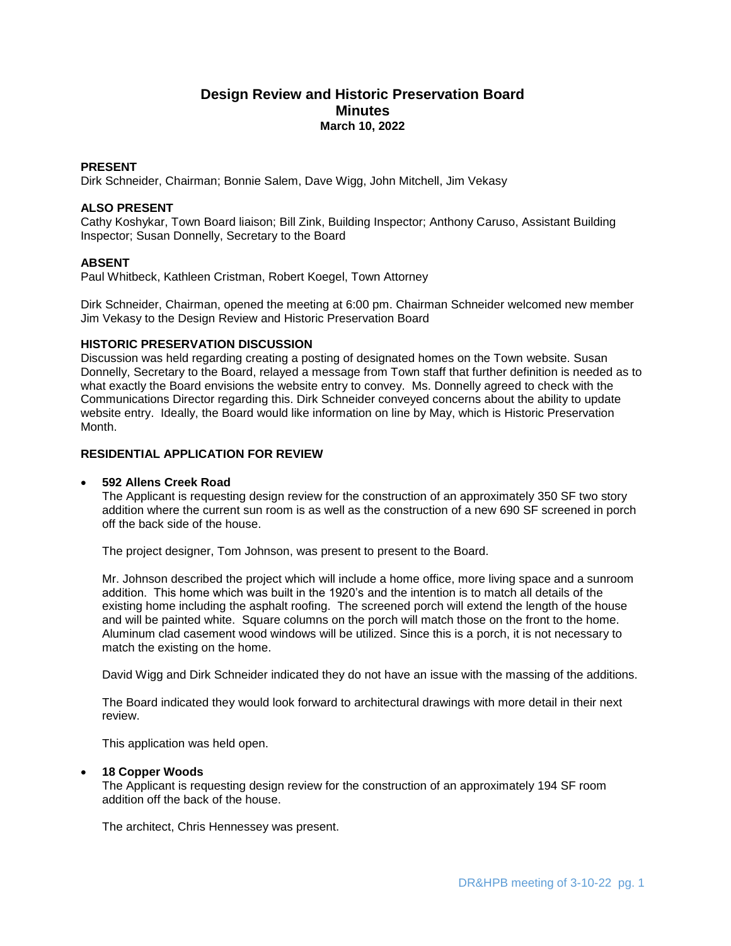# **Design Review and Historic Preservation Board Minutes March 10, 2022**

# **PRESENT**

Dirk Schneider, Chairman; Bonnie Salem, Dave Wigg, John Mitchell, Jim Vekasy

## **ALSO PRESENT**

Cathy Koshykar, Town Board liaison; Bill Zink, Building Inspector; Anthony Caruso, Assistant Building Inspector; Susan Donnelly, Secretary to the Board

## **ABSENT**

Paul Whitbeck, Kathleen Cristman, Robert Koegel, Town Attorney

Dirk Schneider, Chairman, opened the meeting at 6:00 pm. Chairman Schneider welcomed new member Jim Vekasy to the Design Review and Historic Preservation Board

### **HISTORIC PRESERVATION DISCUSSION**

Discussion was held regarding creating a posting of designated homes on the Town website. Susan Donnelly, Secretary to the Board, relayed a message from Town staff that further definition is needed as to what exactly the Board envisions the website entry to convey. Ms. Donnelly agreed to check with the Communications Director regarding this. Dirk Schneider conveyed concerns about the ability to update website entry. Ideally, the Board would like information on line by May, which is Historic Preservation Month.

# **RESIDENTIAL APPLICATION FOR REVIEW**

#### **592 Allens Creek Road**

The Applicant is requesting design review for the construction of an approximately 350 SF two story addition where the current sun room is as well as the construction of a new 690 SF screened in porch off the back side of the house.

The project designer, Tom Johnson, was present to present to the Board.

Mr. Johnson described the project which will include a home office, more living space and a sunroom addition. This home which was built in the 1920's and the intention is to match all details of the existing home including the asphalt roofing. The screened porch will extend the length of the house and will be painted white. Square columns on the porch will match those on the front to the home. Aluminum clad casement wood windows will be utilized. Since this is a porch, it is not necessary to match the existing on the home.

David Wigg and Dirk Schneider indicated they do not have an issue with the massing of the additions.

The Board indicated they would look forward to architectural drawings with more detail in their next review.

This application was held open.

#### **18 Copper Woods**

The Applicant is requesting design review for the construction of an approximately 194 SF room addition off the back of the house.

The architect, Chris Hennessey was present.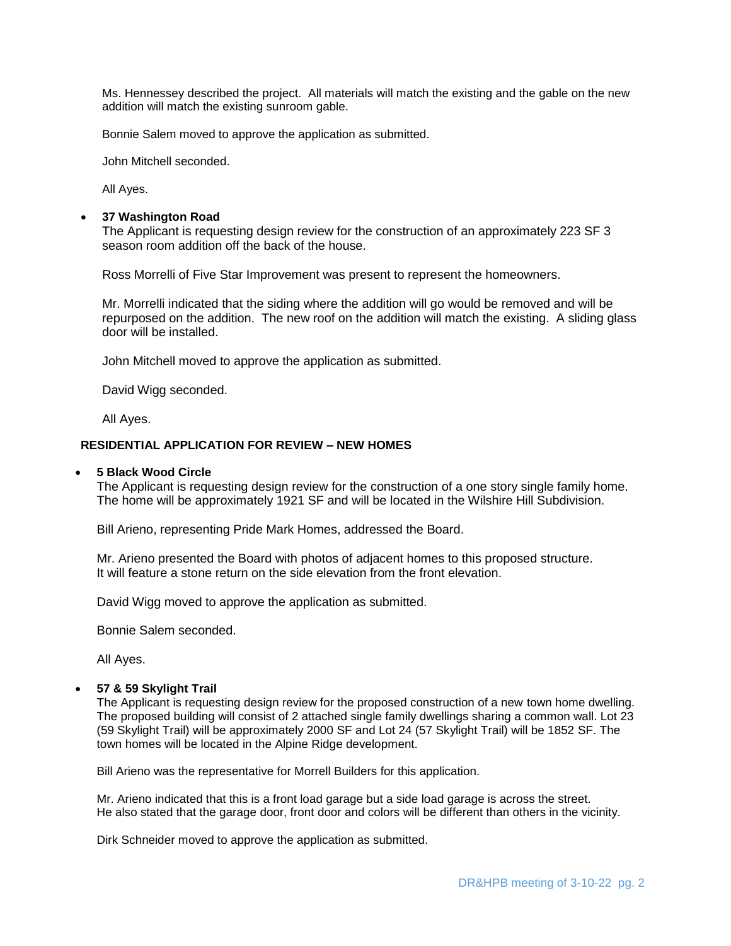Ms. Hennessey described the project. All materials will match the existing and the gable on the new addition will match the existing sunroom gable.

Bonnie Salem moved to approve the application as submitted.

John Mitchell seconded.

All Ayes.

## **37 Washington Road**

The Applicant is requesting design review for the construction of an approximately 223 SF 3 season room addition off the back of the house.

Ross Morrelli of Five Star Improvement was present to represent the homeowners.

Mr. Morrelli indicated that the siding where the addition will go would be removed and will be repurposed on the addition. The new roof on the addition will match the existing. A sliding glass door will be installed.

John Mitchell moved to approve the application as submitted.

David Wigg seconded.

All Ayes.

### **RESIDENTIAL APPLICATION FOR REVIEW – NEW HOMES**

#### **5 Black Wood Circle**

The Applicant is requesting design review for the construction of a one story single family home. The home will be approximately 1921 SF and will be located in the Wilshire Hill Subdivision.

Bill Arieno, representing Pride Mark Homes, addressed the Board.

Mr. Arieno presented the Board with photos of adjacent homes to this proposed structure. It will feature a stone return on the side elevation from the front elevation.

David Wigg moved to approve the application as submitted.

Bonnie Salem seconded.

All Ayes.

### **57 & 59 Skylight Trail**

The Applicant is requesting design review for the proposed construction of a new town home dwelling. The proposed building will consist of 2 attached single family dwellings sharing a common wall. Lot 23 (59 Skylight Trail) will be approximately 2000 SF and Lot 24 (57 Skylight Trail) will be 1852 SF. The town homes will be located in the Alpine Ridge development.

Bill Arieno was the representative for Morrell Builders for this application.

Mr. Arieno indicated that this is a front load garage but a side load garage is across the street. He also stated that the garage door, front door and colors will be different than others in the vicinity.

Dirk Schneider moved to approve the application as submitted.